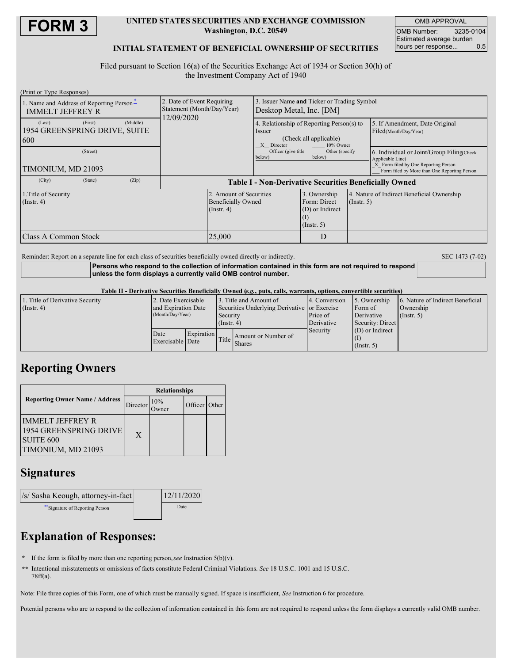

### **UNITED STATES SECURITIES AND EXCHANGE COMMISSION Washington, D.C. 20549**

OMB APPROVAL OMB Number: 3235-0104 Estimated average burden<br>hours per response... 0.5 hours per response...

### **INITIAL STATEMENT OF BENEFICIAL OWNERSHIP OF SECURITIES**

Filed pursuant to Section 16(a) of the Securities Exchange Act of 1934 or Section 30(h) of the Investment Company Act of 1940

| (Print or Type Responses)                |          |          |                                                                        |                                                                          |                                                                           |                                                                     |                  |                                                                                      |  |
|------------------------------------------|----------|----------|------------------------------------------------------------------------|--------------------------------------------------------------------------|---------------------------------------------------------------------------|---------------------------------------------------------------------|------------------|--------------------------------------------------------------------------------------|--|
| 1. Name and Address of Reporting Person* |          |          | 2. Date of Event Requiring<br>Statement (Month/Day/Year)<br>12/09/2020 |                                                                          | 3. Issuer Name and Ticker or Trading Symbol<br>Desktop Metal, Inc. [DM]   |                                                                     |                  |                                                                                      |  |
| <b>IMMELT JEFFREY R</b>                  |          |          |                                                                        |                                                                          |                                                                           |                                                                     |                  |                                                                                      |  |
| (Last)                                   | (First)  | (Middle) |                                                                        |                                                                          | 4. Relationship of Reporting Person(s) to                                 |                                                                     |                  | 5. If Amendment, Date Original                                                       |  |
| 1954 GREENSPRING DRIVE, SUITE            |          |          |                                                                        |                                                                          | Issuer<br>(Check all applicable)<br>10% Owner<br>Director<br>$\mathbf{x}$ |                                                                     |                  | Filed(Month/Day/Year)                                                                |  |
| <b>600</b>                               |          |          |                                                                        |                                                                          |                                                                           |                                                                     |                  |                                                                                      |  |
|                                          | (Street) |          |                                                                        |                                                                          | Officer (give title<br>Other (specify<br>below)<br>below)                 |                                                                     |                  | 6. Individual or Joint/Group Filing Check<br>Applicable Line)                        |  |
| TIMONIUM, MD 21093                       |          |          |                                                                        |                                                                          |                                                                           |                                                                     |                  | X Form filed by One Reporting Person<br>Form filed by More than One Reporting Person |  |
| (City)                                   | (State)  | (Zip)    | <b>Table I - Non-Derivative Securities Beneficially Owned</b>          |                                                                          |                                                                           |                                                                     |                  |                                                                                      |  |
| 1. Title of Security<br>$($ Instr. 4 $)$ |          |          |                                                                        | 2. Amount of Securities<br><b>Beneficially Owned</b><br>$($ Instr. 4 $)$ |                                                                           | 3. Ownership<br>Form: Direct<br>(D) or Indirect<br>$($ Instr. 5 $)$ | $($ Instr. 5 $)$ | 4. Nature of Indirect Beneficial Ownership                                           |  |
| IClass A Common Stock                    |          |          |                                                                        | 25,000                                                                   |                                                                           | D                                                                   |                  |                                                                                      |  |

Reminder: Report on a separate line for each class of securities beneficially owned directly or indirectly. SEC 1473 (7-02)

**Persons who respond to the collection of information contained in this form are not required to respond unless the form displays a currently valid OMB control number.**

#### Table II - Derivative Securities Beneficially Owned (e.g., puts, calls, warrants, options, convertible securities)

| 1. Title of Derivative Security | 2. Date Exercisable |                   | 13. Title and Amount of                      |                                     | 4. Conversion | 5. Ownership      | 6. Nature of Indirect Beneficial |
|---------------------------------|---------------------|-------------------|----------------------------------------------|-------------------------------------|---------------|-------------------|----------------------------------|
| $($ Instr. 4 $)$                | and Expiration Date |                   | Securities Underlying Derivative or Exercise |                                     |               | Form of           | Ownership                        |
|                                 | (Month/Day/Year)    |                   | Security                                     |                                     | Price of      | Derivative        | $($ Instr. 5)                    |
|                                 |                     |                   | $($ Instr. 4 $)$                             |                                     | Derivative    | Security: Direct  |                                  |
|                                 | Date                | <b>Expiration</b> |                                              |                                     | Security      | $(D)$ or Indirect |                                  |
|                                 | Exercisable Date    |                   |                                              | Amount or Number of<br>Title Shares |               |                   |                                  |
|                                 |                     |                   |                                              |                                     |               | $($ Instr. 5 $)$  |                                  |

## **Reporting Owners**

|                                                                                                 | <b>Relationships</b> |        |               |  |  |
|-------------------------------------------------------------------------------------------------|----------------------|--------|---------------|--|--|
| <b>Reporting Owner Name / Address</b>                                                           | Director             | $10\%$ | Officer Other |  |  |
| <b>IMMELT JEFFREY R</b><br>1954 GREENSPRING DRIVE<br>SUITE <sub>600</sub><br>TIMONIUM, MD 21093 | X                    |        |               |  |  |

## **Signatures**

| /s/ Sasha Keough, attorney-in-fact | 12/11/2020 |  |  |
|------------------------------------|------------|--|--|
| ** Signature of Reporting Person   | Date       |  |  |

# **Explanation of Responses:**

**\*** If the form is filed by more than one reporting person,*see* Instruction 5(b)(v).

**\*\*** Intentional misstatements or omissions of facts constitute Federal Criminal Violations. *See* 18 U.S.C. 1001 and 15 U.S.C. 78ff(a).

Note: File three copies of this Form, one of which must be manually signed. If space is insufficient, *See* Instruction 6 for procedure.

Potential persons who are to respond to the collection of information contained in this form are not required to respond unless the form displays a currently valid OMB number.